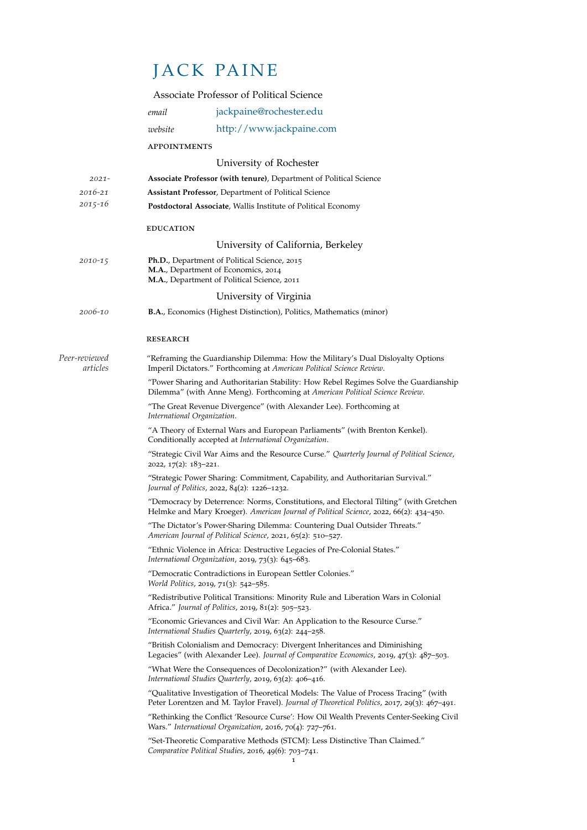## JACK PAINE

|                           |                                                                                                                                                                                        | Associate Professor of Political Science                                                                                                                                        |  |
|---------------------------|----------------------------------------------------------------------------------------------------------------------------------------------------------------------------------------|---------------------------------------------------------------------------------------------------------------------------------------------------------------------------------|--|
|                           | email                                                                                                                                                                                  | jackpaine@rochester.edu                                                                                                                                                         |  |
|                           | website                                                                                                                                                                                | http://www.jackpaine.com                                                                                                                                                        |  |
|                           | <b>APPOINTMENTS</b>                                                                                                                                                                    |                                                                                                                                                                                 |  |
|                           |                                                                                                                                                                                        | University of Rochester                                                                                                                                                         |  |
| $2021 -$                  |                                                                                                                                                                                        | Associate Professor (with tenure), Department of Political Science                                                                                                              |  |
| $2016 - 21$               | <b>Assistant Professor, Department of Political Science</b>                                                                                                                            |                                                                                                                                                                                 |  |
| $2015 - 16$               |                                                                                                                                                                                        | Postdoctoral Associate, Wallis Institute of Political Economy                                                                                                                   |  |
|                           | <b>EDUCATION</b>                                                                                                                                                                       |                                                                                                                                                                                 |  |
|                           |                                                                                                                                                                                        | University of California, Berkeley                                                                                                                                              |  |
| 2010-15                   |                                                                                                                                                                                        | Ph.D., Department of Political Science, 2015<br>M.A., Department of Economics, 2014<br>M.A., Department of Political Science, 2011                                              |  |
|                           |                                                                                                                                                                                        | University of Virginia                                                                                                                                                          |  |
| 2006-10                   |                                                                                                                                                                                        | <b>B.A., Economics (Highest Distinction), Politics, Mathematics (minor)</b>                                                                                                     |  |
|                           | <b>RESEARCH</b>                                                                                                                                                                        |                                                                                                                                                                                 |  |
| Peer-reviewed<br>articles | "Reframing the Guardianship Dilemma: How the Military's Dual Disloyalty Options<br>Imperil Dictators." Forthcoming at American Political Science Review.                               |                                                                                                                                                                                 |  |
|                           | "Power Sharing and Authoritarian Stability: How Rebel Regimes Solve the Guardianship<br>Dilemma" (with Anne Meng). Forthcoming at American Political Science Review.                   |                                                                                                                                                                                 |  |
|                           | "The Great Revenue Divergence" (with Alexander Lee). Forthcoming at<br>International Organization.                                                                                     |                                                                                                                                                                                 |  |
|                           | "A Theory of External Wars and European Parliaments" (with Brenton Kenkel).<br>Conditionally accepted at International Organization.                                                   |                                                                                                                                                                                 |  |
|                           | "Strategic Civil War Aims and the Resource Curse." Quarterly Journal of Political Science,<br>2022, 17(2): 183–221.                                                                    |                                                                                                                                                                                 |  |
|                           | "Strategic Power Sharing: Commitment, Capability, and Authoritarian Survival."<br>Journal of Politics, 2022, 84(2): 1226-1232.                                                         |                                                                                                                                                                                 |  |
|                           |                                                                                                                                                                                        | "Democracy by Deterrence: Norms, Constitutions, and Electoral Tilting" (with Gretchen<br>Helmke and Mary Kroeger). American Journal of Political Science, 2022, 66(2): 434-450. |  |
|                           |                                                                                                                                                                                        | "The Dictator's Power-Sharing Dilemma: Countering Dual Outsider Threats."<br>American Journal of Political Science, 2021, 65(2): 510-527.                                       |  |
|                           |                                                                                                                                                                                        | "Ethnic Violence in Africa: Destructive Legacies of Pre-Colonial States."<br>International Organization, 2019, 73(3): 645-683.                                                  |  |
|                           |                                                                                                                                                                                        | "Democratic Contradictions in European Settler Colonies."<br>World Politics, 2019, 71(3): 542-585.                                                                              |  |
|                           | "Redistributive Political Transitions: Minority Rule and Liberation Wars in Colonial<br>Africa." Journal of Politics, 2019, 81(2): 505-523.                                            |                                                                                                                                                                                 |  |
|                           | "Economic Grievances and Civil War: An Application to the Resource Curse."<br>International Studies Quarterly, 2019, 63(2): 244-258.                                                   |                                                                                                                                                                                 |  |
|                           | "British Colonialism and Democracy: Divergent Inheritances and Diminishing<br>Legacies" (with Alexander Lee). Journal of Comparative Economics, 2019, 47(3): 487-503.                  |                                                                                                                                                                                 |  |
|                           | "What Were the Consequences of Decolonization?" (with Alexander Lee).<br>International Studies Quarterly, 2019, 63(2): 406-416.                                                        |                                                                                                                                                                                 |  |
|                           | "Qualitative Investigation of Theoretical Models: The Value of Process Tracing" (with<br>Peter Lorentzen and M. Taylor Fravel). Journal of Theoretical Politics, 2017, 29(3): 467-491. |                                                                                                                                                                                 |  |
|                           | "Rethinking the Conflict 'Resource Curse': How Oil Wealth Prevents Center-Seeking Civil<br>Wars." International Organization, 2016, 70(4): 727-761.                                    |                                                                                                                                                                                 |  |
|                           |                                                                                                                                                                                        |                                                                                                                                                                                 |  |

"Set-Theoretic Comparative Methods (STCM): Less Distinctive Than Claimed." *Comparative Political Studies*, 2016, 49(6): 703–741. 1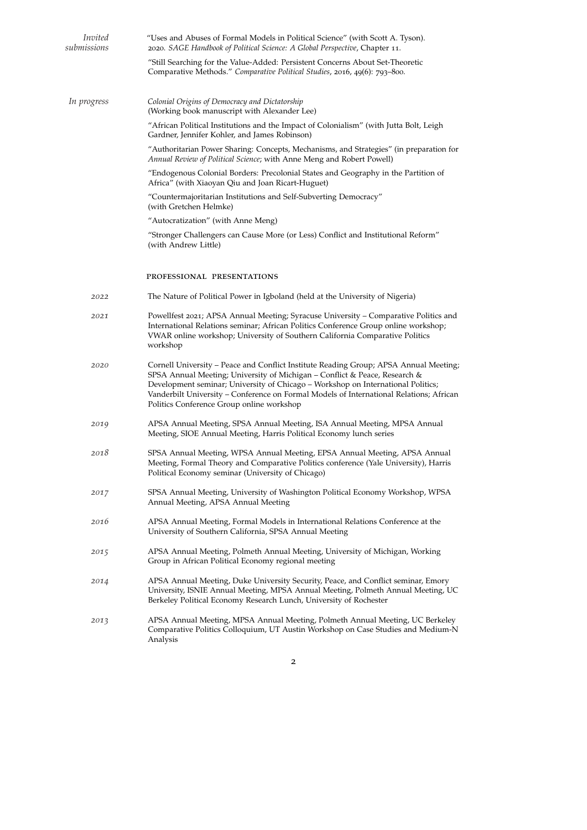| Invited<br>submissions | "Uses and Abuses of Formal Models in Political Science" (with Scott A. Tyson).<br>2020. SAGE Handbook of Political Science: A Global Perspective, Chapter 11.                                                                                                                                                                                                                                   |  |  |
|------------------------|-------------------------------------------------------------------------------------------------------------------------------------------------------------------------------------------------------------------------------------------------------------------------------------------------------------------------------------------------------------------------------------------------|--|--|
|                        | "Still Searching for the Value-Added: Persistent Concerns About Set-Theoretic<br>Comparative Methods." Comparative Political Studies, 2016, 49(6): 793-800.                                                                                                                                                                                                                                     |  |  |
| In progress            | Colonial Origins of Democracy and Dictatorship<br>(Working book manuscript with Alexander Lee)                                                                                                                                                                                                                                                                                                  |  |  |
|                        | "African Political Institutions and the Impact of Colonialism" (with Jutta Bolt, Leigh<br>Gardner, Jennifer Kohler, and James Robinson)                                                                                                                                                                                                                                                         |  |  |
|                        | "Authoritarian Power Sharing: Concepts, Mechanisms, and Strategies" (in preparation for<br>Annual Review of Political Science; with Anne Meng and Robert Powell)                                                                                                                                                                                                                                |  |  |
|                        | "Endogenous Colonial Borders: Precolonial States and Geography in the Partition of<br>Africa" (with Xiaoyan Qiu and Joan Ricart-Huguet)                                                                                                                                                                                                                                                         |  |  |
|                        | "Countermajoritarian Institutions and Self-Subverting Democracy"<br>(with Gretchen Helmke)                                                                                                                                                                                                                                                                                                      |  |  |
|                        | "Autocratization" (with Anne Meng)                                                                                                                                                                                                                                                                                                                                                              |  |  |
|                        | "Stronger Challengers can Cause More (or Less) Conflict and Institutional Reform"<br>(with Andrew Little)                                                                                                                                                                                                                                                                                       |  |  |
|                        | PROFESSIONAL PRESENTATIONS                                                                                                                                                                                                                                                                                                                                                                      |  |  |
| 2022                   | The Nature of Political Power in Igboland (held at the University of Nigeria)                                                                                                                                                                                                                                                                                                                   |  |  |
| 2021                   | Powellfest 2021; APSA Annual Meeting; Syracuse University – Comparative Politics and<br>International Relations seminar; African Politics Conference Group online workshop;<br>VWAR online workshop; University of Southern California Comparative Politics<br>workshop                                                                                                                         |  |  |
| 2020                   | Cornell University – Peace and Conflict Institute Reading Group; APSA Annual Meeting;<br>SPSA Annual Meeting; University of Michigan – Conflict & Peace, Research &<br>Development seminar; University of Chicago - Workshop on International Politics;<br>Vanderbilt University – Conference on Formal Models of International Relations; African<br>Politics Conference Group online workshop |  |  |
| 2019                   | APSA Annual Meeting, SPSA Annual Meeting, ISA Annual Meeting, MPSA Annual<br>Meeting, SIOE Annual Meeting, Harris Political Economy lunch series                                                                                                                                                                                                                                                |  |  |
| 2018                   | SPSA Annual Meeting, WPSA Annual Meeting, EPSA Annual Meeting, APSA Annual<br>Meeting, Formal Theory and Comparative Politics conference (Yale University), Harris<br>Political Economy seminar (University of Chicago)                                                                                                                                                                         |  |  |
| 2017                   | SPSA Annual Meeting, University of Washington Political Economy Workshop, WPSA<br>Annual Meeting, APSA Annual Meeting                                                                                                                                                                                                                                                                           |  |  |
| 2016                   | APSA Annual Meeting, Formal Models in International Relations Conference at the<br>University of Southern California, SPSA Annual Meeting                                                                                                                                                                                                                                                       |  |  |
| 2015                   | APSA Annual Meeting, Polmeth Annual Meeting, University of Michigan, Working<br>Group in African Political Economy regional meeting                                                                                                                                                                                                                                                             |  |  |
| 2014                   | APSA Annual Meeting, Duke University Security, Peace, and Conflict seminar, Emory<br>University, ISNIE Annual Meeting, MPSA Annual Meeting, Polmeth Annual Meeting, UC<br>Berkeley Political Economy Research Lunch, University of Rochester                                                                                                                                                    |  |  |
| 2013                   | APSA Annual Meeting, MPSA Annual Meeting, Polmeth Annual Meeting, UC Berkeley<br>Comparative Politics Colloquium, UT Austin Workshop on Case Studies and Medium-N<br>Analysis                                                                                                                                                                                                                   |  |  |

2